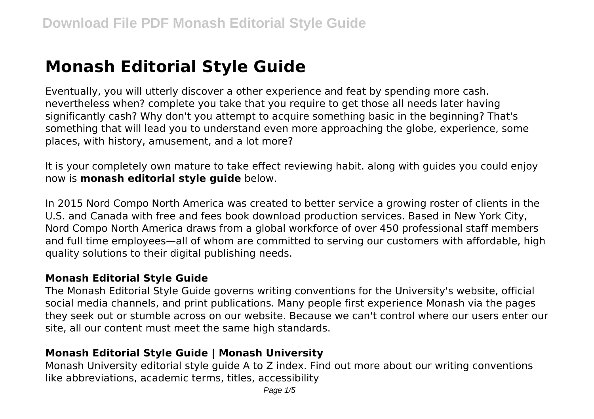# **Monash Editorial Style Guide**

Eventually, you will utterly discover a other experience and feat by spending more cash. nevertheless when? complete you take that you require to get those all needs later having significantly cash? Why don't you attempt to acquire something basic in the beginning? That's something that will lead you to understand even more approaching the globe, experience, some places, with history, amusement, and a lot more?

It is your completely own mature to take effect reviewing habit. along with guides you could enjoy now is **monash editorial style guide** below.

In 2015 Nord Compo North America was created to better service a growing roster of clients in the U.S. and Canada with free and fees book download production services. Based in New York City, Nord Compo North America draws from a global workforce of over 450 professional staff members and full time employees—all of whom are committed to serving our customers with affordable, high quality solutions to their digital publishing needs.

#### **Monash Editorial Style Guide**

The Monash Editorial Style Guide governs writing conventions for the University's website, official social media channels, and print publications. Many people first experience Monash via the pages they seek out or stumble across on our website. Because we can't control where our users enter our site, all our content must meet the same high standards.

# **Monash Editorial Style Guide | Monash University**

Monash University editorial style guide A to Z index. Find out more about our writing conventions like abbreviations, academic terms, titles, accessibility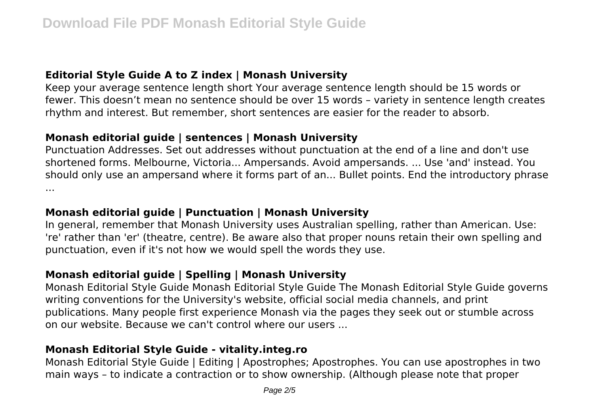# **Editorial Style Guide A to Z index | Monash University**

Keep your average sentence length short Your average sentence length should be 15 words or fewer. This doesn't mean no sentence should be over 15 words – variety in sentence length creates rhythm and interest. But remember, short sentences are easier for the reader to absorb.

#### **Monash editorial guide | sentences | Monash University**

Punctuation Addresses. Set out addresses without punctuation at the end of a line and don't use shortened forms. Melbourne, Victoria... Ampersands. Avoid ampersands. ... Use 'and' instead. You should only use an ampersand where it forms part of an... Bullet points. End the introductory phrase ...

# **Monash editorial guide | Punctuation | Monash University**

In general, remember that Monash University uses Australian spelling, rather than American. Use: 're' rather than 'er' (theatre, centre). Be aware also that proper nouns retain their own spelling and punctuation, even if it's not how we would spell the words they use.

# **Monash editorial guide | Spelling | Monash University**

Monash Editorial Style Guide Monash Editorial Style Guide The Monash Editorial Style Guide governs writing conventions for the University's website, official social media channels, and print publications. Many people first experience Monash via the pages they seek out or stumble across on our website. Because we can't control where our users ...

# **Monash Editorial Style Guide - vitality.integ.ro**

Monash Editorial Style Guide | Editing | Apostrophes; Apostrophes. You can use apostrophes in two main ways – to indicate a contraction or to show ownership. (Although please note that proper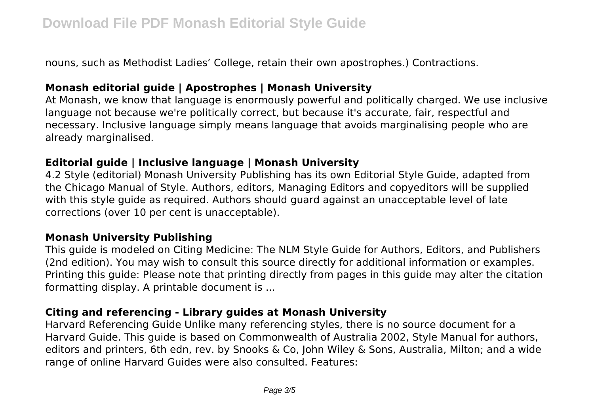nouns, such as Methodist Ladies' College, retain their own apostrophes.) Contractions.

#### **Monash editorial guide | Apostrophes | Monash University**

At Monash, we know that language is enormously powerful and politically charged. We use inclusive language not because we're politically correct, but because it's accurate, fair, respectful and necessary. Inclusive language simply means language that avoids marginalising people who are already marginalised.

#### **Editorial guide | Inclusive language | Monash University**

4.2 Style (editorial) Monash University Publishing has its own Editorial Style Guide, adapted from the Chicago Manual of Style. Authors, editors, Managing Editors and copyeditors will be supplied with this style guide as required. Authors should guard against an unacceptable level of late corrections (over 10 per cent is unacceptable).

#### **Monash University Publishing**

This guide is modeled on Citing Medicine: The NLM Style Guide for Authors, Editors, and Publishers (2nd edition). You may wish to consult this source directly for additional information or examples. Printing this guide: Please note that printing directly from pages in this guide may alter the citation formatting display. A printable document is ...

# **Citing and referencing - Library guides at Monash University**

Harvard Referencing Guide Unlike many referencing styles, there is no source document for a Harvard Guide. This guide is based on Commonwealth of Australia 2002, Style Manual for authors, editors and printers, 6th edn, rev. by Snooks & Co, John Wiley & Sons, Australia, Milton; and a wide range of online Harvard Guides were also consulted. Features: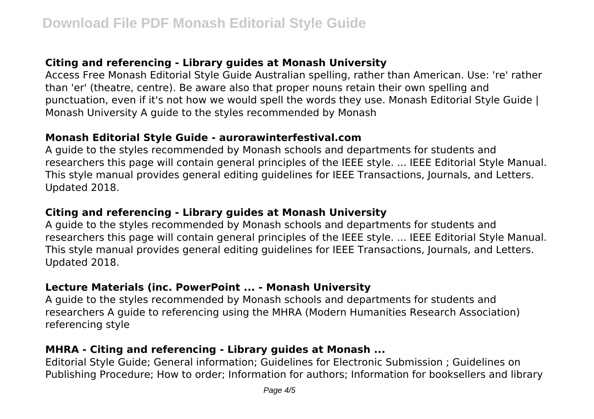# **Citing and referencing - Library guides at Monash University**

Access Free Monash Editorial Style Guide Australian spelling, rather than American. Use: 're' rather than 'er' (theatre, centre). Be aware also that proper nouns retain their own spelling and punctuation, even if it's not how we would spell the words they use. Monash Editorial Style Guide | Monash University A guide to the styles recommended by Monash

#### **Monash Editorial Style Guide - aurorawinterfestival.com**

A guide to the styles recommended by Monash schools and departments for students and researchers this page will contain general principles of the IEEE style. ... IEEE Editorial Style Manual. This style manual provides general editing guidelines for IEEE Transactions, Journals, and Letters. Updated 2018.

# **Citing and referencing - Library guides at Monash University**

A guide to the styles recommended by Monash schools and departments for students and researchers this page will contain general principles of the IEEE style. ... IEEE Editorial Style Manual. This style manual provides general editing guidelines for IEEE Transactions, Journals, and Letters. Updated 2018.

# **Lecture Materials (inc. PowerPoint ... - Monash University**

A guide to the styles recommended by Monash schools and departments for students and researchers A guide to referencing using the MHRA (Modern Humanities Research Association) referencing style

# **MHRA - Citing and referencing - Library guides at Monash ...**

Editorial Style Guide; General information; Guidelines for Electronic Submission ; Guidelines on Publishing Procedure; How to order; Information for authors; Information for booksellers and library